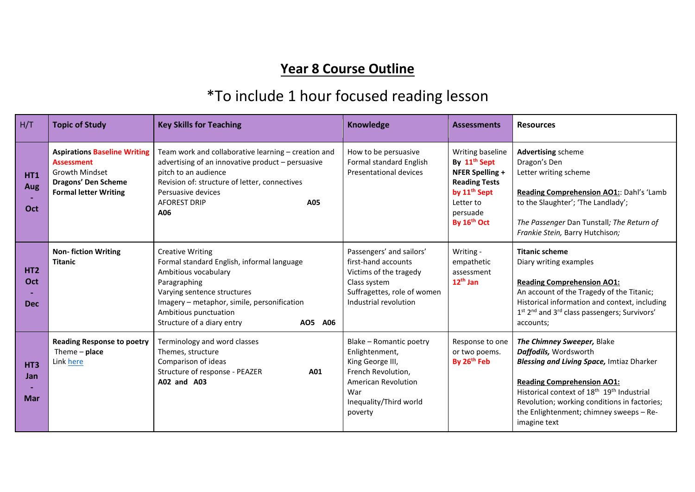## **Year 8 Course Outline**

## \*To include 1 hour focused reading lesson

| H/T                                         | <b>Topic of Study</b>                                                                                                                    | <b>Key Skills for Teaching</b>                                                                                                                                                                                                                                | Knowledge                                                                                                                                                     | <b>Assessments</b>                                                                                                                                          | <b>Resources</b>                                                                                                                                                                                                                                                                                                              |
|---------------------------------------------|------------------------------------------------------------------------------------------------------------------------------------------|---------------------------------------------------------------------------------------------------------------------------------------------------------------------------------------------------------------------------------------------------------------|---------------------------------------------------------------------------------------------------------------------------------------------------------------|-------------------------------------------------------------------------------------------------------------------------------------------------------------|-------------------------------------------------------------------------------------------------------------------------------------------------------------------------------------------------------------------------------------------------------------------------------------------------------------------------------|
| <b>HT1</b><br>Aug<br>Oct                    | <b>Aspirations Baseline Writing</b><br><b>Assessment</b><br><b>Growth Mindset</b><br>Dragons' Den Scheme<br><b>Formal letter Writing</b> | Team work and collaborative learning - creation and<br>advertising of an innovative product - persuasive<br>pitch to an audience<br>Revision of: structure of letter, connectives<br>Persuasive devices<br><b>AFOREST DRIP</b><br>A05<br>A06                  | How to be persuasive<br>Formal standard English<br>Presentational devices                                                                                     | Writing baseline<br>By 11 <sup>th</sup> Sept<br>NFER Spelling +<br><b>Reading Tests</b><br>by 11 <sup>th</sup> Sept<br>Letter to<br>persuade<br>By 16th Oct | <b>Advertising scheme</b><br>Dragon's Den<br>Letter writing scheme<br>Reading Comprehension AO1:: Dahl's 'Lamb<br>to the Slaughter'; 'The Landlady';<br>The Passenger Dan Tunstall; The Return of<br>Frankie Stein, Barry Hutchison;                                                                                          |
| <b>HT2</b><br>Oct<br><b>Dec</b>             | <b>Non-fiction Writing</b><br><b>Titanic</b>                                                                                             | <b>Creative Writing</b><br>Formal standard English, informal language<br>Ambitious vocabulary<br>Paragraphing<br>Varying sentence structures<br>Imagery - metaphor, simile, personification<br>Ambitious punctuation<br>Structure of a diary entry<br>AO5 A06 | Passengers' and sailors'<br>first-hand accounts<br>Victims of the tragedy<br>Class system<br>Suffragettes, role of women<br>Industrial revolution             | Writing -<br>empathetic<br>assessment<br>$12th$ Jan                                                                                                         | <b>Titanic scheme</b><br>Diary writing examples<br><b>Reading Comprehension AO1:</b><br>An account of the Tragedy of the Titanic;<br>Historical information and context, including<br>1st 2 <sup>nd</sup> and 3 <sup>rd</sup> class passengers; Survivors'<br>accounts;                                                       |
| HT <sub>3</sub><br><b>Jan</b><br><b>Mar</b> | <b>Reading Response to poetry</b><br>Theme $-$ place<br>Link here                                                                        | Terminology and word classes<br>Themes, structure<br>Comparison of ideas<br>Structure of response - PEAZER<br>A01<br>A02 and A03                                                                                                                              | Blake - Romantic poetry<br>Enlightenment,<br>King George III,<br>French Revolution,<br><b>American Revolution</b><br>War<br>Inequality/Third world<br>poverty | Response to one<br>or two poems.<br>By 26 <sup>th</sup> Feb                                                                                                 | The Chimney Sweeper, Blake<br>Daffodils, Wordsworth<br><b>Blessing and Living Space, Imtiaz Dharker</b><br><b>Reading Comprehension AO1:</b><br>Historical context of 18 <sup>th</sup> 19 <sup>th</sup> Industrial<br>Revolution; working conditions in factories;<br>the Enlightenment; chimney sweeps - Re-<br>imagine text |